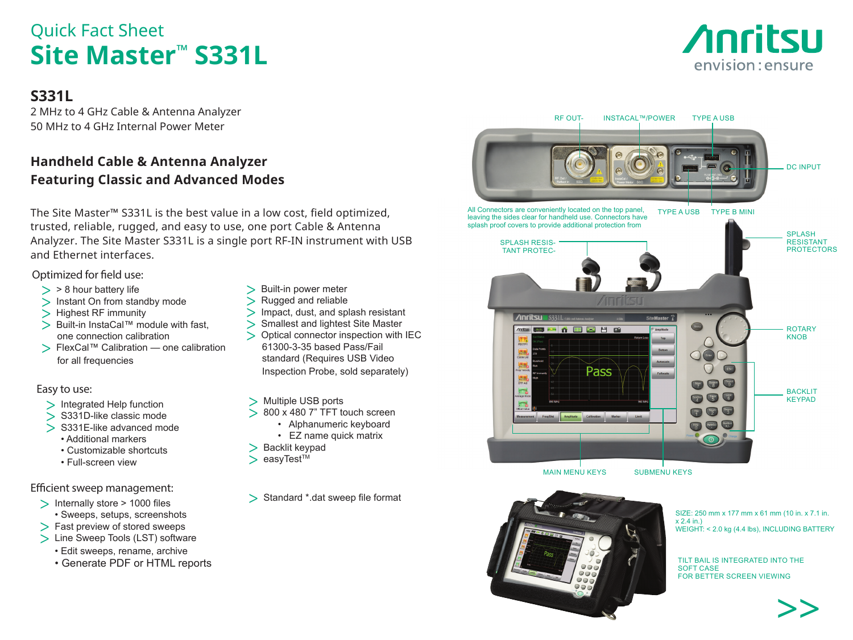# Quick Fact Sheet **Site Master™ S331L**

# **S331L**

2 MHz to 4 GHz Cable & Antenna Analyzer 50 MHz to 4 GHz Internal Power Meter

# **Handheld Cable & Antenna Analyzer Featuring Classic and Advanced Modes**

The Site Master™ S331L is the best value in a low cost, field optimized, trusted, reliable, rugged, and easy to use, one port Cable & Antenna Analyzer. The Site Master S331L is a single port RF-IN instrument with USB and Ethernet interfaces.

## Optimized for field use:

- $>$  > 8 hour battery life
- > Instant On from standby mode
- > Highest RF immunity
- > Built-in InstaCal™ module with fast, one connection calibration
- > FlexCal™ Calibration one calibration for all frequencies

### Easy to use:

- > Integrated Help function
- > S331D-like classic mode
- > S331E-like advanced mode • Additional markers
	- Customizable shortcuts
	- Full-screen view

### Efficient sweep management:

- > Internally store > 1000 files
	- Sweeps, setups, screenshots
- > Fast preview of stored sweeps
- > Line Sweep Tools (LST) software
	- Edit sweeps, rename, archive
	- Generate PDF or HTML reports
- > Built-in power meter
- > Rugged and reliable<br>> Impact dust and spl
	- Impact, dust, and splash resistant
- Smallest and lightest Site Master
- > Optical connector inspection with IEC 61300-3-35 based Pass/Fail standard (Requires USB Video Inspection Probe, sold separately)
- > Multiple USB ports
- > 800 x 480 7" TFT touch screen
	- Alphanumeric keyboard
	- EZ name quick matrix
- $>$  Backlit keypad<br> $>$  easyTest<sup>™</sup>
- easvTest<sup>™</sup>

> Standard \*.dat sweep file format





SIZE: 250 mm x 177 mm x 61 mm (10 in. x 7.1 in.  $x 2.4$  in.) WEIGHT: < 2.0 kg (4.4 lbs), INCLUDING BATTERY

TILT BAIL IS INTEGRATED INTO THE SOFT CASE FOR BETTER SCREEN VIEWING